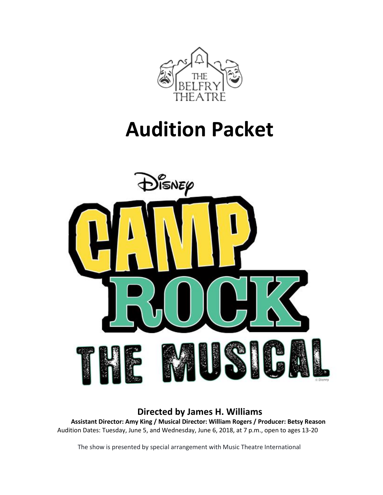

# **Audition Packet**



## **Directed by James H. Williams**

**Assistant Director: Amy King / Musical Director: William Rogers / Producer: Betsy Reason** Audition Dates: Tuesday, June 5, and Wednesday, June 6, 2018, at 7 p.m., open to ages 13-20

The show is presented by special arrangement with Music Theatre International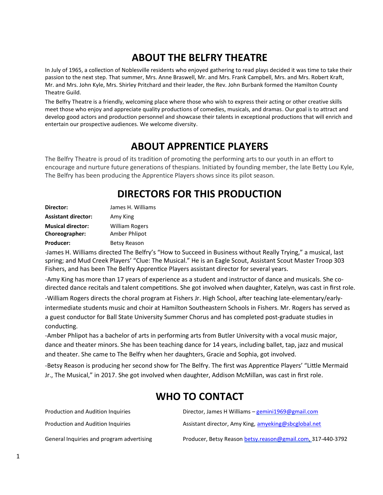# **ABOUT THE BELFRY THEATRE**

In July of 1965, a collection of Noblesville residents who enjoyed gathering to read plays decided it was time to take their passion to the next step. That summer, Mrs. Anne Braswell, Mr. and Mrs. Frank Campbell, Mrs. and Mrs. Robert Kraft, Mr. and Mrs. John Kyle, Mrs. Shirley Pritchard and their leader, the Rev. John Burbank formed the Hamilton County Theatre Guild.

The Belfry Theatre is a friendly, welcoming place where those who wish to express their acting or other creative skills meet those who enjoy and appreciate quality productions of comedies, musicals, and dramas. Our goal is to attract and develop good actors and production personnel and showcase their talents in exceptional productions that will enrich and entertain our prospective audiences. We welcome diversity.

## **ABOUT APPRENTICE PLAYERS**

The Belfry Theatre is proud of its tradition of promoting the performing arts to our youth in an effort to encourage and nurture future generations of thespians. Initiated by founding member, the late Betty Lou Kyle, The Belfry has been producing the Apprentice Players shows since its pilot season.

# **DIRECTORS FOR THIS PRODUCTION**

| Director:                  | James H. Williams     |
|----------------------------|-----------------------|
| <b>Assistant director:</b> | Amy King              |
| <b>Musical director:</b>   | <b>William Rogers</b> |
| Choreographer:             | Amber Phlipot         |
| <b>Producer:</b>           | <b>Betsy Reason</b>   |

-James H. Williams directed The Belfry's "How to Succeed in Business without Really Trying," a musical, last spring; and Mud Creek Players' "Clue: The Musical." He is an Eagle Scout, Assistant Scout Master Troop 303 Fishers, and has been The Belfry Apprentice Players assistant director for several years.

-Amy King has more than 17 years of experience as a student and instructor of dance and musicals. She codirected dance recitals and talent competitions. She got involved when daughter, Katelyn, was cast in first role.

-William Rogers directs the choral program at Fishers Jr. High School, after teaching late-elementary/earlyintermediate students music and choir at Hamilton Southeastern Schools in Fishers. Mr. Rogers has served as a guest conductor for Ball State University Summer Chorus and has completed post-graduate studies in conducting.

-Amber Phlipot has a bachelor of arts in performing arts from Butler University with a vocal music major, dance and theater minors. She has been teaching dance for 14 years, including ballet, tap, jazz and musical and theater. She came to The Belfry when her daughters, Gracie and Sophia, got involved.

-Betsy Reason is producing her second show for The Belfry. The first was Apprentice Players' "Little Mermaid Jr., The Musical," in 2017. She got involved when daughter, Addison McMillan, was cast in first role.

# **WHO TO CONTACT**

| Production and Audition Inquiries         | Director, James H Williams $-$ gemini1969@gmail.com         |
|-------------------------------------------|-------------------------------------------------------------|
| Production and Audition Inquiries         | Assistant director, Amy King, amyeking@sbcglobal.net        |
| General Inquiries and program advertising | Producer, Betsy Reason betsy.reason@gmail.com, 317-440-3792 |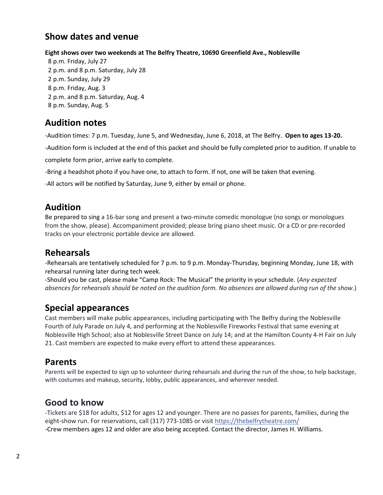## **Show dates and venue**

#### **Eight shows over two weekends at The Belfry Theatre, 10690 Greenfield Ave., Noblesville**

8 p.m. Friday, July 27 2 p.m. and 8 p.m. Saturday, July 28 2 p.m. Sunday, July 29 8 p.m. Friday, Aug. 3 2 p.m. and 8 p.m. Saturday, Aug. 4 8 p.m. Sunday, Aug. 5

## **Audition notes**

-Audition times: 7 p.m. Tuesday, June 5, and Wednesday, June 6, 2018, at The Belfry. **Open to ages 13-20.**

-Audition form is included at the end of this packet and should be fully completed prior to audition. If unable to

complete form prior, arrive early to complete.

-Bring a headshot photo if you have one, to attach to form. If not, one will be taken that evening.

-All actors will be notified by Saturday, June 9, either by email or phone.

#### **Audition**

Be prepared to sing a 16-bar song and present a two-minute comedic monologue (no songs or monologues from the show, please). Accompaniment provided; please bring piano sheet music. Or a CD or pre-recorded tracks on your electronic portable device are allowed.

#### **Rehearsals**

-Rehearsals are tentatively scheduled for 7 p.m. to 9 p.m. Monday-Thursday, beginning Monday, June 18, with rehearsal running later during tech week.

-Should you be cast, please make "Camp Rock: The Musical" the priority in your schedule. (*Any expected absences for rehearsals should be noted on the audition form. No absences are allowed during run of the show*.)

#### **Special appearances**

Cast members will make public appearances, including participating with The Belfry during the Noblesville Fourth of July Parade on July 4, and performing at the Noblesville Fireworks Festival that same evening at Noblesville High School; also at Noblesville Street Dance on July 14; and at the Hamilton County 4-H Fair on July 21. Cast members are expected to make every effort to attend these appearances.

#### **Parents**

Parents will be expected to sign up to volunteer during rehearsals and during the run of the show, to help backstage, with costumes and makeup, security, lobby, public appearances, and wherever needed.

#### **Good to know**

-Tickets are \$18 for adults, \$12 for ages 12 and younger. There are no passes for parents, families, during the eight-show run. For reservations, call (317) 773-1085 or visit [https://thebelfrytheatre.com/](https://l.facebook.com/l.php?u=https%3A%2F%2Fthebelfrytheatre.com%2F&h=ATMzM3bYFlC4ZlyB4_1YY5BLXtcXJPJGNW8_Kjw_aSKMRgj2RjJS0pbojW8Xgxr8JryP0zfzfhHn5YlXcsWPefsSexK_maksxdVHCF0NcXLScT-h6nLwK9jrcqzVCm6hg3Dt&s=1) -Crew members ages 12 and older are also being accepted. Contact the director, James H. Williams.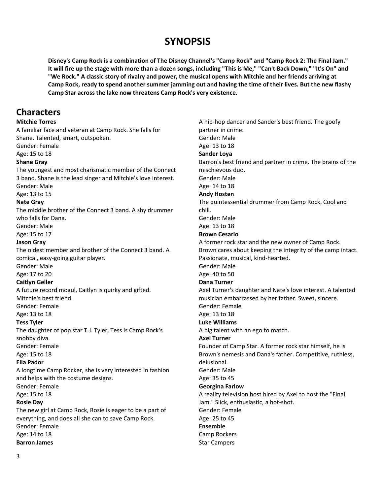## **SYNOPSIS**

**Disney's Camp Rock is a combination of The Disney Channel's "Camp Rock" and "Camp Rock 2: The Final Jam." It will fire up the stage with more than a dozen songs, including "This is Me," "Can't Back Down," "It's On" and "We Rock." A classic story of rivalry and power, the musical opens with Mitchie and her friends arriving at Camp Rock, ready to spend another summer jamming out and having the time of their lives. But the new flashy Camp Star across the lake now threatens Camp Rock's very existence.**

#### **Characters**

#### **Mitchie Torres**

A familiar face and veteran at Camp Rock. She falls for Shane. Talented, smart, outspoken. Gender: Female Age: 15 to 18 **Shane Gray** The youngest and most charismatic member of the Connect 3 band. Shane is the lead singer and Mitchie's love interest. Gender: Male Age: 13 to 15 **Nate Gray** The middle brother of the Connect 3 band. A shy drummer who falls for Dana. Gender: Male Age: 15 to 17 **Jason Gray** The oldest member and brother of the Connect 3 band. A comical, easy-going guitar player. Gender: Male Age: 17 to 20 **Caitlyn Geller** A future record mogul, Caitlyn is quirky and gifted. Mitchie's best friend. Gender: Female Age: 13 to 18 **Tess Tyler** The daughter of pop star T.J. Tyler, Tess is Camp Rock's snobby diva. Gender: Female Age: 15 to 18 **Ella Pador** A longtime Camp Rocker, she is very interested in fashion and helps with the costume designs. Gender: Female Age: 15 to 18 **Rosie Day** The new girl at Camp Rock, Rosie is eager to be a part of everything, and does all she can to save Camp Rock. Gender: Female Age: 14 to 18 **Barron James**

A hip-hop dancer and Sander's best friend. The goofy partner in crime. Gender: Male Age: 13 to 18 **Sander Loya** Barron's best friend and partner in crime. The brains of the mischievous duo. Gender: Male Age: 14 to 18 **Andy Hosten** The quintessential drummer from Camp Rock. Cool and chill. Gender: Male Age: 13 to 18 **Brown Cesario** A former rock star and the new owner of Camp Rock. Brown cares about keeping the integrity of the camp intact. Passionate, musical, kind-hearted. Gender: Male Age: 40 to 50 **Dana Turner** Axel Turner's daughter and Nate's love interest. A talented musician embarrassed by her father. Sweet, sincere. Gender: Female Age: 13 to 18 **Luke Williams** A big talent with an ego to match. **Axel Turner** Founder of Camp Star. A former rock star himself, he is Brown's nemesis and Dana's father. Competitive, ruthless, delusional. Gender: Male Age: 35 to 45 **Georgina Farlow** A reality television host hired by Axel to host the "Final Jam." Slick, enthusiastic, a hot-shot. Gender: Female Age: 25 to 45 **Ensemble** Camp Rockers Star Campers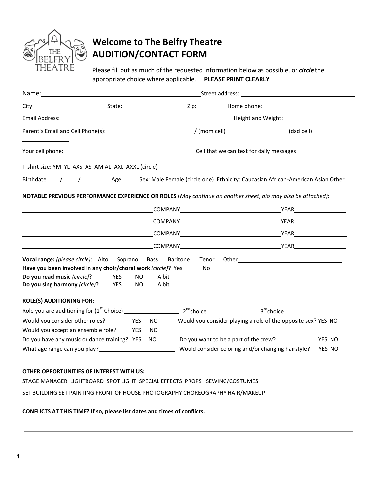

# **Welcome to The Belfry Theatre AUDITION/CONTACT FORM**

Please fill out as much of the requested information below as possible, or *circle*the appropriate choice where applicable. **PLEASE PRINT CLEARLY**

|                                                               |                       | Email Address: 1988 Contract Address: 2008 Contract Address: 2008 Contract Address: 2008 Contract Address: 200 |       |                                                                                                             |        |  |  |
|---------------------------------------------------------------|-----------------------|----------------------------------------------------------------------------------------------------------------|-------|-------------------------------------------------------------------------------------------------------------|--------|--|--|
|                                                               |                       |                                                                                                                |       | (dad cell)                                                                                                  |        |  |  |
|                                                               |                       |                                                                                                                |       |                                                                                                             |        |  |  |
| T-shirt size: YM YL AXS AS AM AL AXL AXXL (circle)            |                       |                                                                                                                |       |                                                                                                             |        |  |  |
|                                                               |                       |                                                                                                                |       |                                                                                                             |        |  |  |
|                                                               |                       |                                                                                                                |       |                                                                                                             |        |  |  |
|                                                               |                       |                                                                                                                |       | NOTABLE PREVIOUS PERFORMANCE EXPERIENCE OR ROLES (May continue on another sheet, bio may also be attached): |        |  |  |
|                                                               |                       |                                                                                                                |       |                                                                                                             |        |  |  |
|                                                               |                       |                                                                                                                |       |                                                                                                             |        |  |  |
|                                                               |                       |                                                                                                                |       |                                                                                                             |        |  |  |
|                                                               |                       |                                                                                                                |       |                                                                                                             |        |  |  |
| <b>Vocal range:</b> (please circle): Alto Soprano             |                       | Bass Baritone                                                                                                  | Tenor |                                                                                                             |        |  |  |
|                                                               |                       |                                                                                                                | No    |                                                                                                             |        |  |  |
| Have you been involved in any choir/choral work (circle)? Yes |                       |                                                                                                                |       |                                                                                                             |        |  |  |
| Do you read music (circle)?                                   | <b>YES</b>            | A bit<br>NO.                                                                                                   |       |                                                                                                             |        |  |  |
|                                                               | YES                   | NO.<br>A bit                                                                                                   |       |                                                                                                             |        |  |  |
| Do you sing harmony (circle)?                                 |                       |                                                                                                                |       |                                                                                                             |        |  |  |
| <b>ROLE(S) AUDITIONING FOR:</b>                               |                       |                                                                                                                |       |                                                                                                             |        |  |  |
| Would you consider other roles?                               | <b>Example 19 YES</b> | NO.                                                                                                            |       | Would you consider playing a role of the opposite sex? YES NO                                               |        |  |  |
| Would you accept an ensemble role? YES                        |                       | NO.                                                                                                            |       |                                                                                                             |        |  |  |
| Do you have any music or dance training? YES NO               |                       |                                                                                                                |       | Do you want to be a part of the crew?                                                                       | YES NO |  |  |

#### **OTHER OPPORTUNITIES OF INTEREST WITH US:**

STAGE MANAGER LIGHTBOARD SPOT LIGHT SPECIAL EFFECTS PROPS SEWING/COSTUMES SET BUILDING SET PAINTING FRONT OF HOUSE PHOTOGRAPHY CHOREOGRAPHY HAIR/MAKEUP

#### **CONFLICTS AT THIS TIME? If so, please list dates and times of conflicts.**